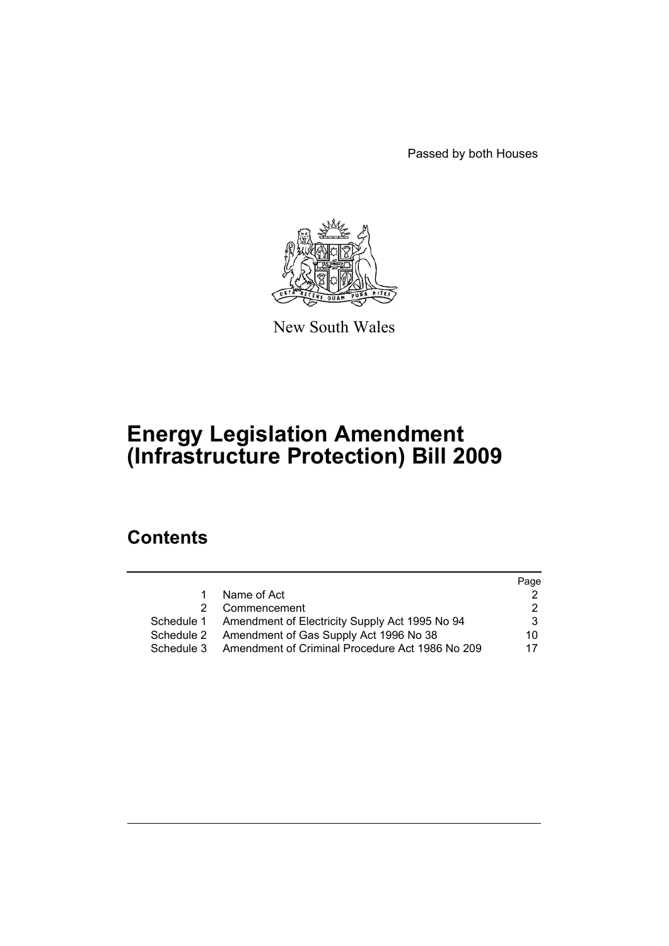Passed by both Houses



New South Wales

# **Energy Legislation Amendment (Infrastructure Protection) Bill 2009**

# **Contents**

|            |                                                           | Page |
|------------|-----------------------------------------------------------|------|
| 1.         | Name of Act                                               |      |
| 2          | Commencement                                              | 2.   |
|            | Schedule 1 Amendment of Electricity Supply Act 1995 No 94 | 3    |
| Schedule 2 | Amendment of Gas Supply Act 1996 No 38                    | 10   |
| Schedule 3 | Amendment of Criminal Procedure Act 1986 No 209           | 17   |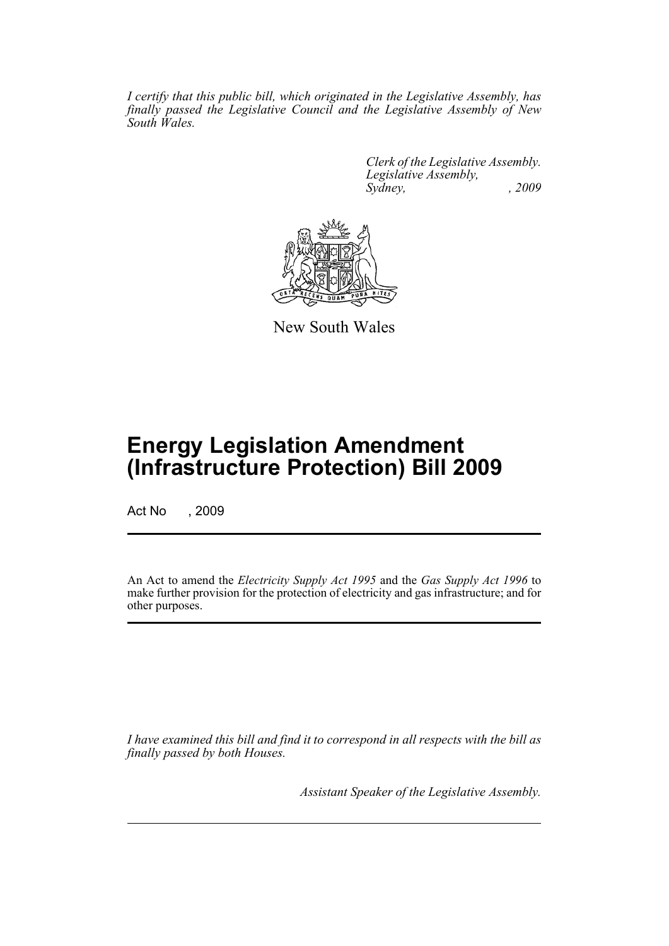*I certify that this public bill, which originated in the Legislative Assembly, has finally passed the Legislative Council and the Legislative Assembly of New South Wales.*

> *Clerk of the Legislative Assembly. Legislative Assembly, Sydney, , 2009*



New South Wales

# **Energy Legislation Amendment (Infrastructure Protection) Bill 2009**

Act No , 2009

An Act to amend the *Electricity Supply Act 1995* and the *Gas Supply Act 1996* to make further provision for the protection of electricity and gas infrastructure; and for other purposes.

*I have examined this bill and find it to correspond in all respects with the bill as finally passed by both Houses.*

*Assistant Speaker of the Legislative Assembly.*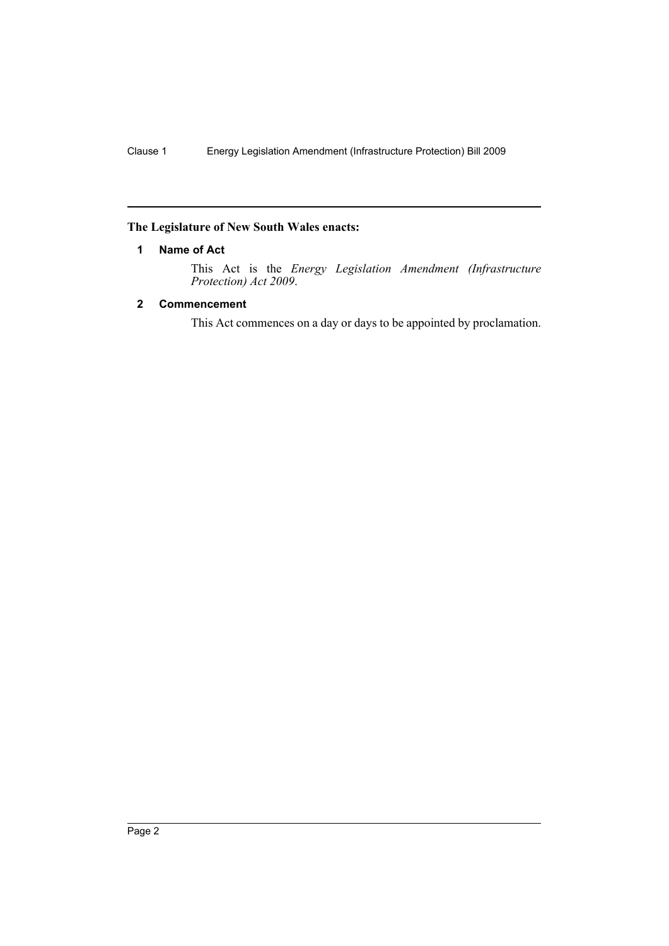### <span id="page-3-0"></span>**The Legislature of New South Wales enacts:**

# **1 Name of Act**

This Act is the *Energy Legislation Amendment (Infrastructure Protection) Act 2009*.

# <span id="page-3-1"></span>**2 Commencement**

This Act commences on a day or days to be appointed by proclamation.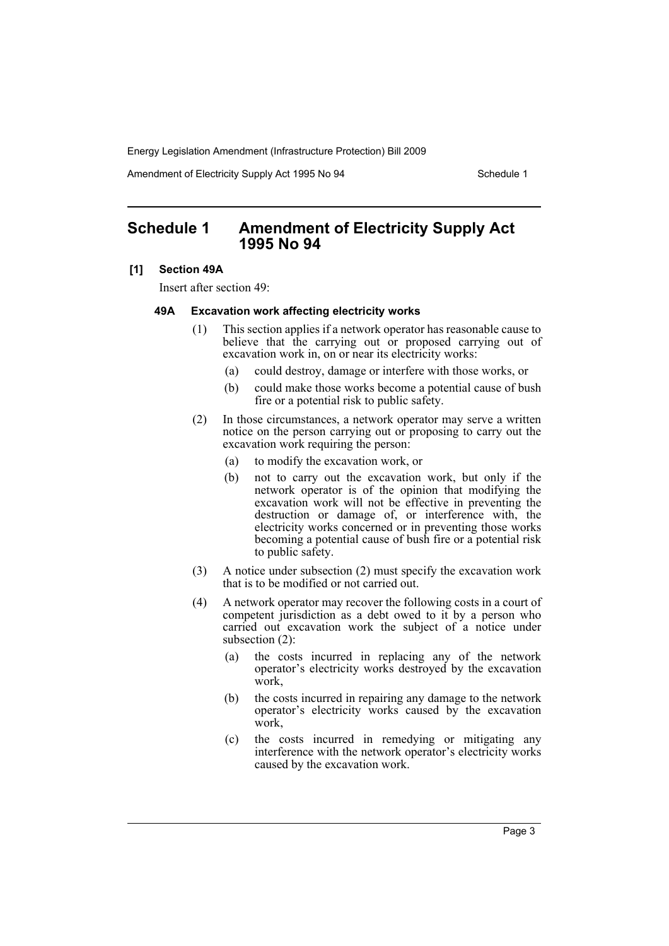Amendment of Electricity Supply Act 1995 No 94 Schedule 1

# <span id="page-4-0"></span>**Schedule 1 Amendment of Electricity Supply Act 1995 No 94**

#### **[1] Section 49A**

Insert after section 49:

#### **49A Excavation work affecting electricity works**

- (1) This section applies if a network operator has reasonable cause to believe that the carrying out or proposed carrying out of excavation work in, on or near its electricity works:
	- (a) could destroy, damage or interfere with those works, or
	- (b) could make those works become a potential cause of bush fire or a potential risk to public safety.
- (2) In those circumstances, a network operator may serve a written notice on the person carrying out or proposing to carry out the excavation work requiring the person:
	- (a) to modify the excavation work, or
	- (b) not to carry out the excavation work, but only if the network operator is of the opinion that modifying the excavation work will not be effective in preventing the destruction or damage of, or interference with, the electricity works concerned or in preventing those works becoming a potential cause of bush fire or a potential risk to public safety.
- (3) A notice under subsection (2) must specify the excavation work that is to be modified or not carried out.
- (4) A network operator may recover the following costs in a court of competent jurisdiction as a debt owed to it by a person who carried out excavation work the subject of a notice under subsection (2):
	- (a) the costs incurred in replacing any of the network operator's electricity works destroyed by the excavation work,
	- (b) the costs incurred in repairing any damage to the network operator's electricity works caused by the excavation work,
	- (c) the costs incurred in remedying or mitigating any interference with the network operator's electricity works caused by the excavation work.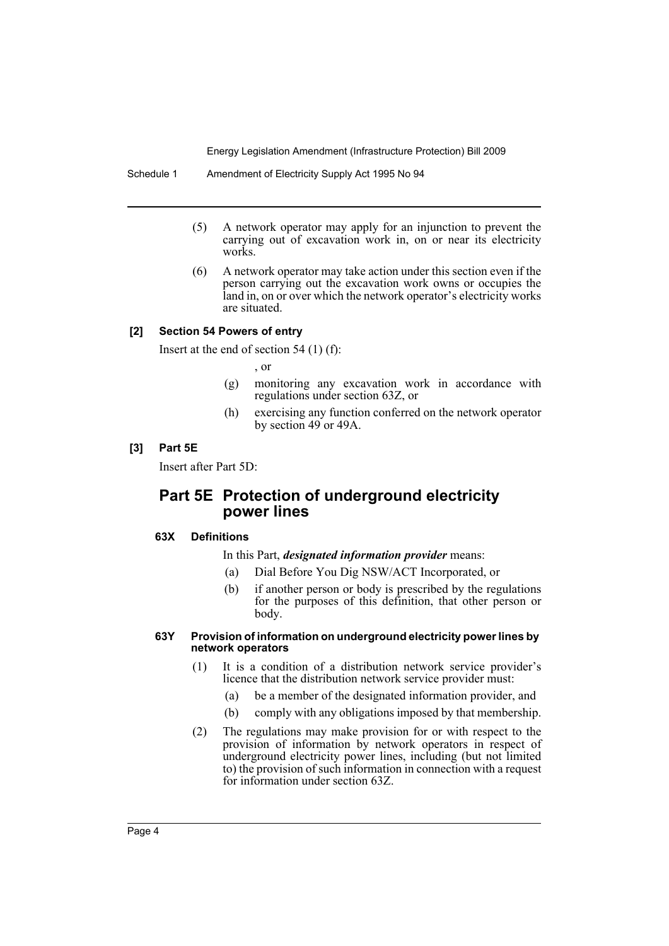- (5) A network operator may apply for an injunction to prevent the carrying out of excavation work in, on or near its electricity works.
- (6) A network operator may take action under this section even if the person carrying out the excavation work owns or occupies the land in, on or over which the network operator's electricity works are situated.

# **[2] Section 54 Powers of entry**

Insert at the end of section 54 (1) (f):

, or

- (g) monitoring any excavation work in accordance with regulations under section 63Z, or
- (h) exercising any function conferred on the network operator by section 49 or 49A.

#### **[3] Part 5E**

Insert after Part 5D:

# **Part 5E Protection of underground electricity power lines**

#### **63X Definitions**

In this Part, *designated information provider* means:

- (a) Dial Before You Dig NSW/ACT Incorporated, or
- (b) if another person or body is prescribed by the regulations for the purposes of this definition, that other person or body.

#### **63Y Provision of information on underground electricity power lines by network operators**

- (1) It is a condition of a distribution network service provider's licence that the distribution network service provider must:
	- (a) be a member of the designated information provider, and
	- (b) comply with any obligations imposed by that membership.
- (2) The regulations may make provision for or with respect to the provision of information by network operators in respect of underground electricity power lines, including (but not limited to) the provision of such information in connection with a request for information under section 63Z.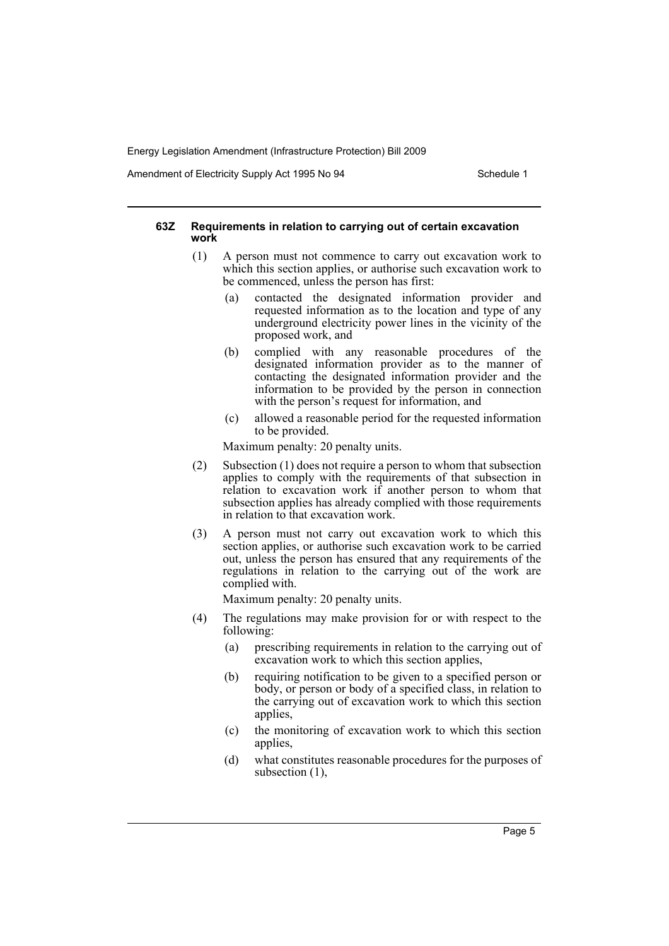Amendment of Electricity Supply Act 1995 No 94 Schedule 1

#### **63Z Requirements in relation to carrying out of certain excavation work**

- (1) A person must not commence to carry out excavation work to which this section applies, or authorise such excavation work to be commenced, unless the person has first:
	- (a) contacted the designated information provider and requested information as to the location and type of any underground electricity power lines in the vicinity of the proposed work, and
	- (b) complied with any reasonable procedures of the designated information provider as to the manner of contacting the designated information provider and the information to be provided by the person in connection with the person's request for information, and
	- (c) allowed a reasonable period for the requested information to be provided.

Maximum penalty: 20 penalty units.

- (2) Subsection (1) does not require a person to whom that subsection applies to comply with the requirements of that subsection in relation to excavation work if another person to whom that subsection applies has already complied with those requirements in relation to that excavation work.
- (3) A person must not carry out excavation work to which this section applies, or authorise such excavation work to be carried out, unless the person has ensured that any requirements of the regulations in relation to the carrying out of the work are complied with.

Maximum penalty: 20 penalty units.

- (4) The regulations may make provision for or with respect to the following:
	- (a) prescribing requirements in relation to the carrying out of excavation work to which this section applies,
	- (b) requiring notification to be given to a specified person or body, or person or body of a specified class, in relation to the carrying out of excavation work to which this section applies,
	- (c) the monitoring of excavation work to which this section applies,
	- (d) what constitutes reasonable procedures for the purposes of subsection (1),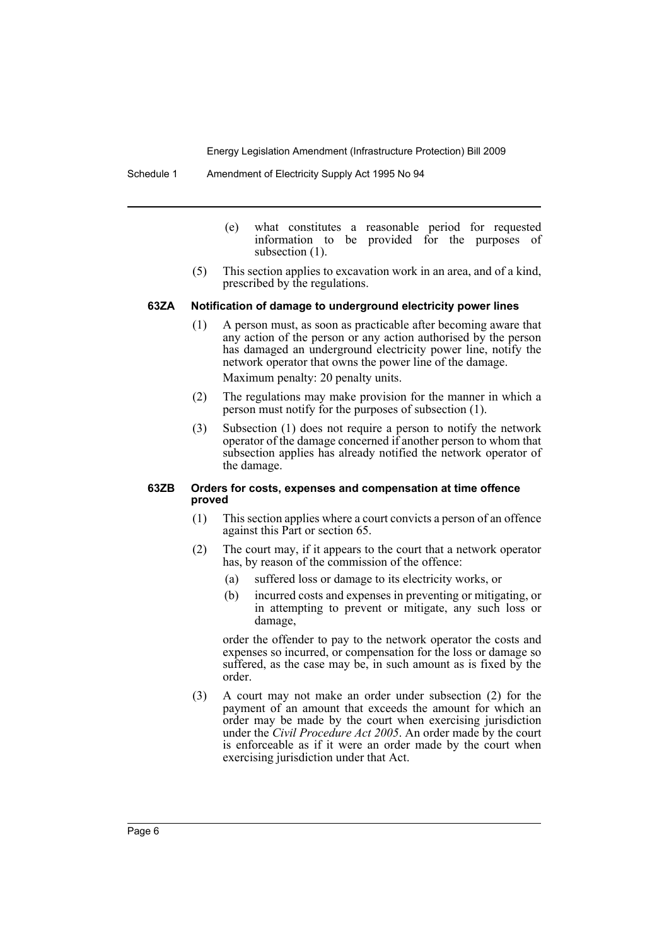- (e) what constitutes a reasonable period for requested information to be provided for the purposes of subsection  $(1)$ .
- (5) This section applies to excavation work in an area, and of a kind, prescribed by the regulations.

#### **63ZA Notification of damage to underground electricity power lines**

- (1) A person must, as soon as practicable after becoming aware that any action of the person or any action authorised by the person has damaged an underground electricity power line, notify the network operator that owns the power line of the damage. Maximum penalty: 20 penalty units.
- (2) The regulations may make provision for the manner in which a person must notify for the purposes of subsection (1).
- (3) Subsection (1) does not require a person to notify the network operator of the damage concerned if another person to whom that subsection applies has already notified the network operator of the damage.

#### **63ZB Orders for costs, expenses and compensation at time offence proved**

- (1) This section applies where a court convicts a person of an offence against this Part or section 65.
- (2) The court may, if it appears to the court that a network operator has, by reason of the commission of the offence:
	- (a) suffered loss or damage to its electricity works, or
	- (b) incurred costs and expenses in preventing or mitigating, or in attempting to prevent or mitigate, any such loss or damage,

order the offender to pay to the network operator the costs and expenses so incurred, or compensation for the loss or damage so suffered, as the case may be, in such amount as is fixed by the order.

(3) A court may not make an order under subsection (2) for the payment of an amount that exceeds the amount for which an order may be made by the court when exercising jurisdiction under the *Civil Procedure Act 2005*. An order made by the court is enforceable as if it were an order made by the court when exercising jurisdiction under that Act.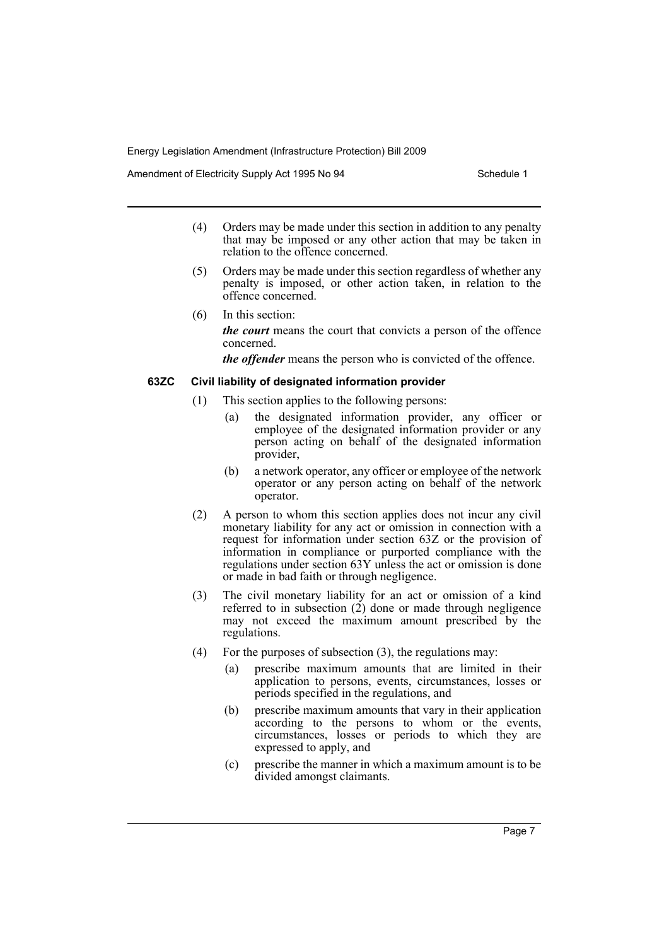Amendment of Electricity Supply Act 1995 No 94 Schedule 1

- (4) Orders may be made under this section in addition to any penalty that may be imposed or any other action that may be taken in relation to the offence concerned.
- (5) Orders may be made under this section regardless of whether any penalty is imposed, or other action taken, in relation to the offence concerned.
- (6) In this section: *the court* means the court that convicts a person of the offence concerned.

*the offender* means the person who is convicted of the offence.

#### **63ZC Civil liability of designated information provider**

- (1) This section applies to the following persons:
	- (a) the designated information provider, any officer or employee of the designated information provider or any person acting on behalf of the designated information provider,
	- (b) a network operator, any officer or employee of the network operator or any person acting on behalf of the network operator.
- (2) A person to whom this section applies does not incur any civil monetary liability for any act or omission in connection with a request for information under section 63Z or the provision of information in compliance or purported compliance with the regulations under section 63Y unless the act or omission is done or made in bad faith or through negligence.
- (3) The civil monetary liability for an act or omission of a kind referred to in subsection (2) done or made through negligence may not exceed the maximum amount prescribed by the regulations.
- (4) For the purposes of subsection  $(3)$ , the regulations may:
	- (a) prescribe maximum amounts that are limited in their application to persons, events, circumstances, losses or periods specified in the regulations, and
	- (b) prescribe maximum amounts that vary in their application according to the persons to whom or the events, circumstances, losses or periods to which they are expressed to apply, and
	- (c) prescribe the manner in which a maximum amount is to be divided amongst claimants.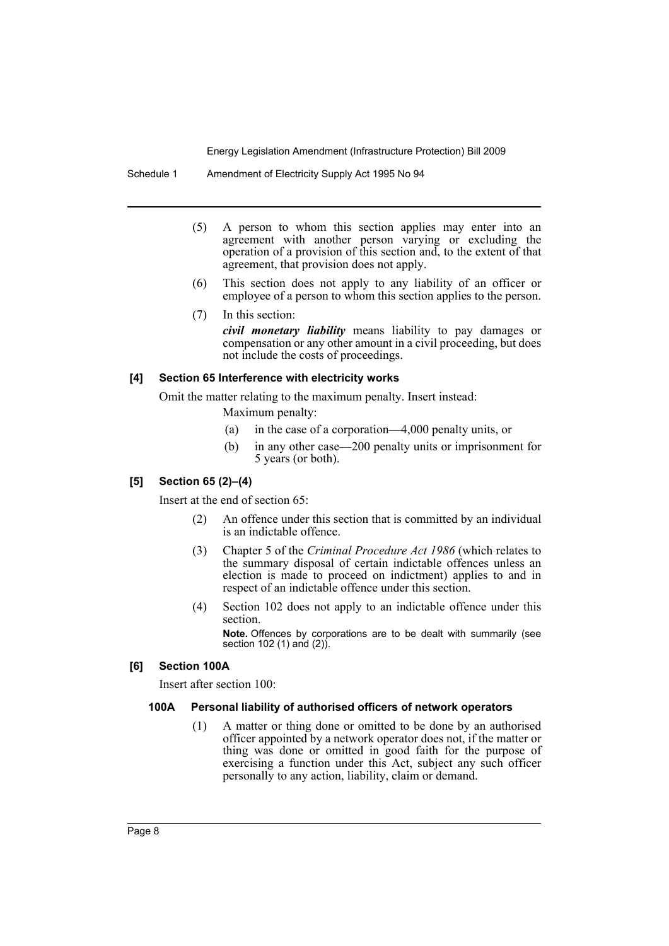Schedule 1 Amendment of Electricity Supply Act 1995 No 94

- (5) A person to whom this section applies may enter into an agreement with another person varying or excluding the operation of a provision of this section and, to the extent of that agreement, that provision does not apply.
- (6) This section does not apply to any liability of an officer or employee of a person to whom this section applies to the person.
- (7) In this section: *civil monetary liability* means liability to pay damages or compensation or any other amount in a civil proceeding, but does not include the costs of proceedings.

#### **[4] Section 65 Interference with electricity works**

Omit the matter relating to the maximum penalty. Insert instead:

Maximum penalty:

- (a) in the case of a corporation—4,000 penalty units, or
- (b) in any other case—200 penalty units or imprisonment for 5 years (or both).

# **[5] Section 65 (2)–(4)**

Insert at the end of section 65:

- (2) An offence under this section that is committed by an individual is an indictable offence.
- (3) Chapter 5 of the *Criminal Procedure Act 1986* (which relates to the summary disposal of certain indictable offences unless an election is made to proceed on indictment) applies to and in respect of an indictable offence under this section.
- (4) Section 102 does not apply to an indictable offence under this section.

**Note.** Offences by corporations are to be dealt with summarily (see section 102 (1) and (2)).

#### **[6] Section 100A**

Insert after section 100:

# **100A Personal liability of authorised officers of network operators**

(1) A matter or thing done or omitted to be done by an authorised officer appointed by a network operator does not, if the matter or thing was done or omitted in good faith for the purpose of exercising a function under this Act, subject any such officer personally to any action, liability, claim or demand.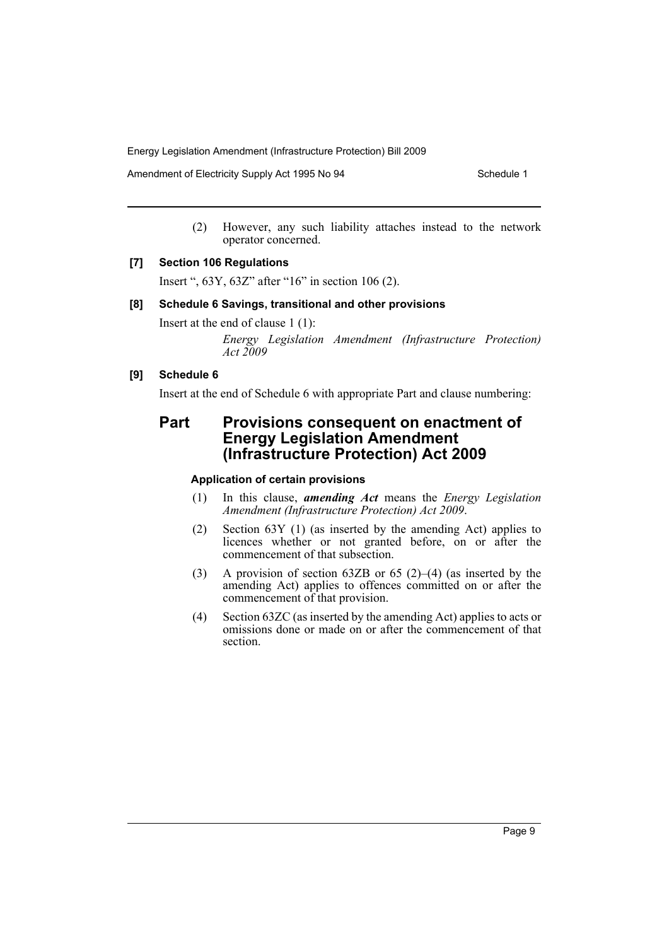Amendment of Electricity Supply Act 1995 No 94 Schedule 1

(2) However, any such liability attaches instead to the network operator concerned.

#### **[7] Section 106 Regulations**

Insert ", 63Y, 63Z" after "16" in section 106 (2).

#### **[8] Schedule 6 Savings, transitional and other provisions**

Insert at the end of clause 1 (1):

*Energy Legislation Amendment (Infrastructure Protection) Act 2009*

# **[9] Schedule 6**

Insert at the end of Schedule 6 with appropriate Part and clause numbering:

# **Part Provisions consequent on enactment of Energy Legislation Amendment (Infrastructure Protection) Act 2009**

#### **Application of certain provisions**

- (1) In this clause, *amending Act* means the *Energy Legislation Amendment (Infrastructure Protection) Act 2009*.
- (2) Section 63Y (1) (as inserted by the amending Act) applies to licences whether or not granted before, on or after the commencement of that subsection.
- (3) A provision of section 63ZB or 65 (2)–(4) (as inserted by the amending Act) applies to offences committed on or after the commencement of that provision.
- (4) Section 63ZC (as inserted by the amending Act) applies to acts or omissions done or made on or after the commencement of that section.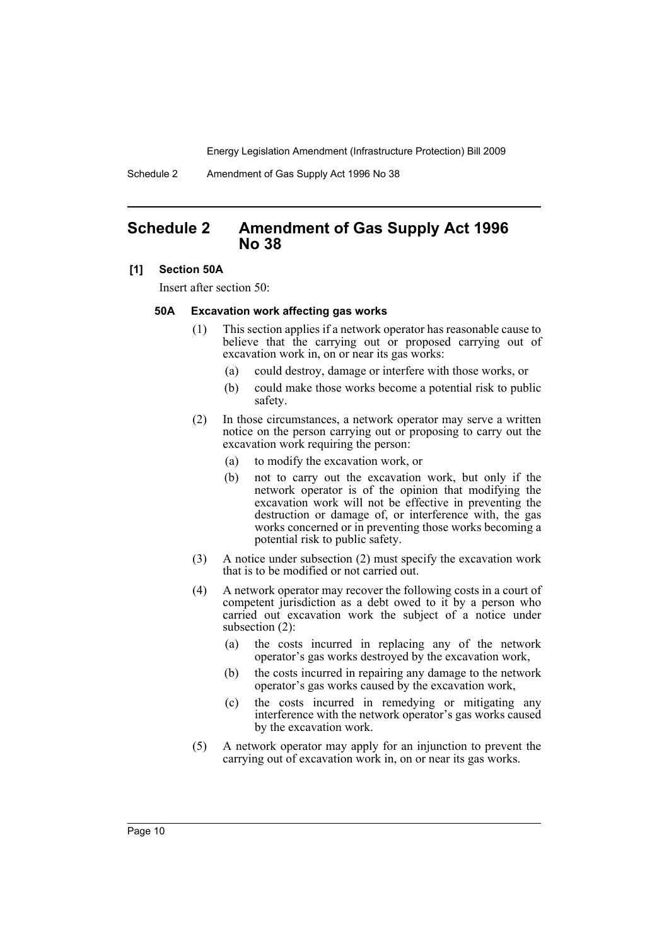Schedule 2 Amendment of Gas Supply Act 1996 No 38

# <span id="page-11-0"></span>**Schedule 2 Amendment of Gas Supply Act 1996 No 38**

#### **[1] Section 50A**

Insert after section 50:

#### **50A Excavation work affecting gas works**

- (1) This section applies if a network operator has reasonable cause to believe that the carrying out or proposed carrying out of excavation work in, on or near its gas works:
	- (a) could destroy, damage or interfere with those works, or
	- (b) could make those works become a potential risk to public safety.
- (2) In those circumstances, a network operator may serve a written notice on the person carrying out or proposing to carry out the excavation work requiring the person:
	- (a) to modify the excavation work, or
	- (b) not to carry out the excavation work, but only if the network operator is of the opinion that modifying the excavation work will not be effective in preventing the destruction or damage of, or interference with, the gas works concerned or in preventing those works becoming a potential risk to public safety.
- (3) A notice under subsection (2) must specify the excavation work that is to be modified or not carried out.
- (4) A network operator may recover the following costs in a court of competent jurisdiction as a debt owed to it by a person who carried out excavation work the subject of a notice under subsection (2):
	- (a) the costs incurred in replacing any of the network operator's gas works destroyed by the excavation work,
	- (b) the costs incurred in repairing any damage to the network operator's gas works caused by the excavation work,
	- (c) the costs incurred in remedying or mitigating any interference with the network operator's gas works caused by the excavation work.
- (5) A network operator may apply for an injunction to prevent the carrying out of excavation work in, on or near its gas works.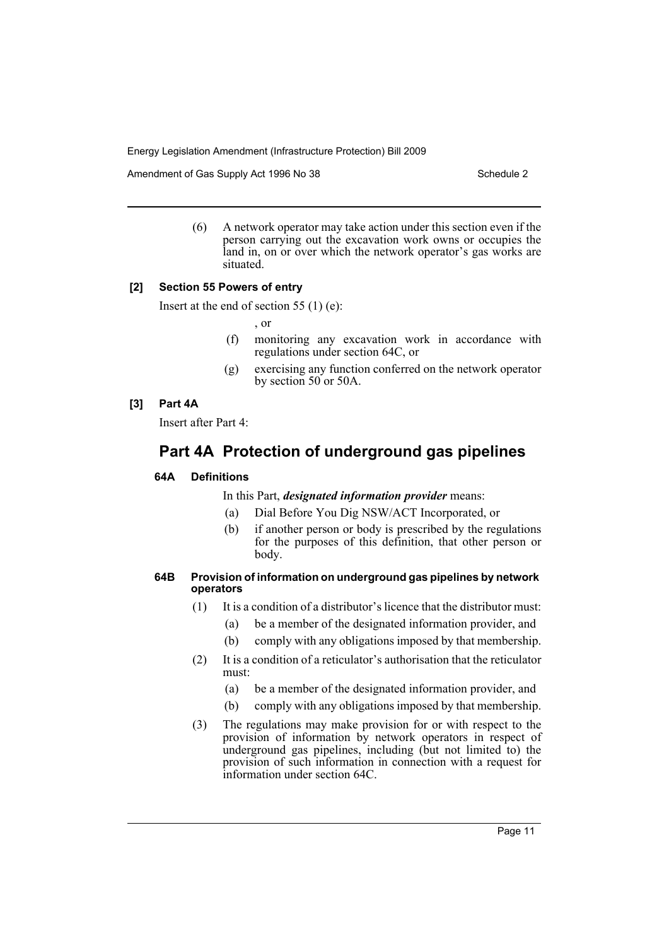Amendment of Gas Supply Act 1996 No 38 Schedule 2

(6) A network operator may take action under this section even if the person carrying out the excavation work owns or occupies the land in, on or over which the network operator's gas works are situated.

#### **[2] Section 55 Powers of entry**

Insert at the end of section 55 (1) (e):

, or

- (f) monitoring any excavation work in accordance with regulations under section 64C, or
- (g) exercising any function conferred on the network operator by section 50 or 50A.

# **[3] Part 4A**

Insert after Part 4:

# **Part 4A Protection of underground gas pipelines**

# **64A Definitions**

In this Part, *designated information provider* means:

- (a) Dial Before You Dig NSW/ACT Incorporated, or
- (b) if another person or body is prescribed by the regulations for the purposes of this definition, that other person or body.

#### **64B Provision of information on underground gas pipelines by network operators**

- (1) It is a condition of a distributor's licence that the distributor must:
	- (a) be a member of the designated information provider, and
	- (b) comply with any obligations imposed by that membership.
- (2) It is a condition of a reticulator's authorisation that the reticulator must:
	- (a) be a member of the designated information provider, and
	- (b) comply with any obligations imposed by that membership.
- (3) The regulations may make provision for or with respect to the provision of information by network operators in respect of underground gas pipelines, including (but not limited to) the provision of such information in connection with a request for information under section 64C.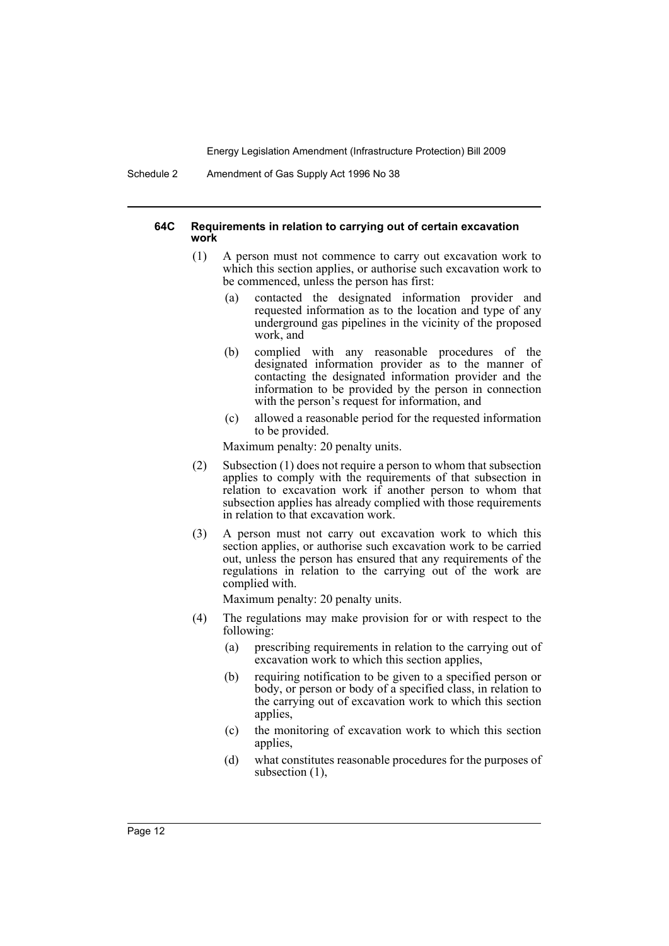Schedule 2 Amendment of Gas Supply Act 1996 No 38

#### **64C Requirements in relation to carrying out of certain excavation work**

- (1) A person must not commence to carry out excavation work to which this section applies, or authorise such excavation work to be commenced, unless the person has first:
	- (a) contacted the designated information provider and requested information as to the location and type of any underground gas pipelines in the vicinity of the proposed work, and
	- (b) complied with any reasonable procedures of the designated information provider as to the manner of contacting the designated information provider and the information to be provided by the person in connection with the person's request for information, and
	- (c) allowed a reasonable period for the requested information to be provided.

Maximum penalty: 20 penalty units.

- (2) Subsection (1) does not require a person to whom that subsection applies to comply with the requirements of that subsection in relation to excavation work if another person to whom that subsection applies has already complied with those requirements in relation to that excavation work.
- (3) A person must not carry out excavation work to which this section applies, or authorise such excavation work to be carried out, unless the person has ensured that any requirements of the regulations in relation to the carrying out of the work are complied with.

Maximum penalty: 20 penalty units.

- (4) The regulations may make provision for or with respect to the following:
	- (a) prescribing requirements in relation to the carrying out of excavation work to which this section applies,
	- (b) requiring notification to be given to a specified person or body, or person or body of a specified class, in relation to the carrying out of excavation work to which this section applies,
	- (c) the monitoring of excavation work to which this section applies,
	- (d) what constitutes reasonable procedures for the purposes of subsection (1),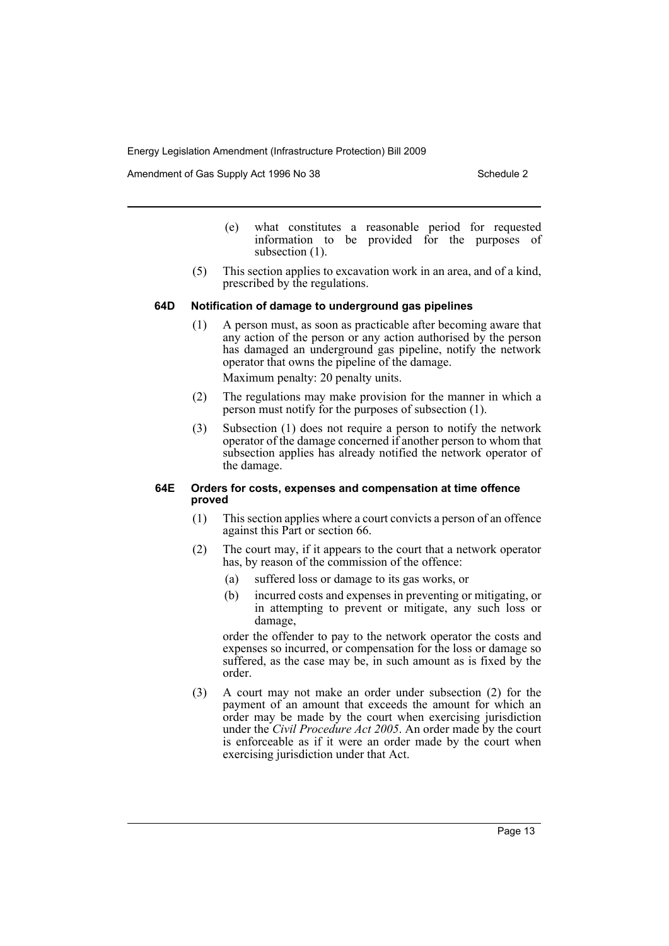Amendment of Gas Supply Act 1996 No 38 Schedule 2 Schedule 2

- (e) what constitutes a reasonable period for requested information to be provided for the purposes of subsection  $(1)$ .
- (5) This section applies to excavation work in an area, and of a kind, prescribed by the regulations.

#### **64D Notification of damage to underground gas pipelines**

- (1) A person must, as soon as practicable after becoming aware that any action of the person or any action authorised by the person has damaged an underground gas pipeline, notify the network operator that owns the pipeline of the damage. Maximum penalty: 20 penalty units.
- (2) The regulations may make provision for the manner in which a person must notify for the purposes of subsection (1).
- (3) Subsection (1) does not require a person to notify the network operator of the damage concerned if another person to whom that subsection applies has already notified the network operator of the damage.

#### **64E Orders for costs, expenses and compensation at time offence proved**

- (1) This section applies where a court convicts a person of an offence against this Part or section 66.
- (2) The court may, if it appears to the court that a network operator has, by reason of the commission of the offence:
	- (a) suffered loss or damage to its gas works, or
	- (b) incurred costs and expenses in preventing or mitigating, or in attempting to prevent or mitigate, any such loss or damage,

order the offender to pay to the network operator the costs and expenses so incurred, or compensation for the loss or damage so suffered, as the case may be, in such amount as is fixed by the order.

(3) A court may not make an order under subsection (2) for the payment of an amount that exceeds the amount for which an order may be made by the court when exercising jurisdiction under the *Civil Procedure Act 2005*. An order made by the court is enforceable as if it were an order made by the court when exercising jurisdiction under that Act.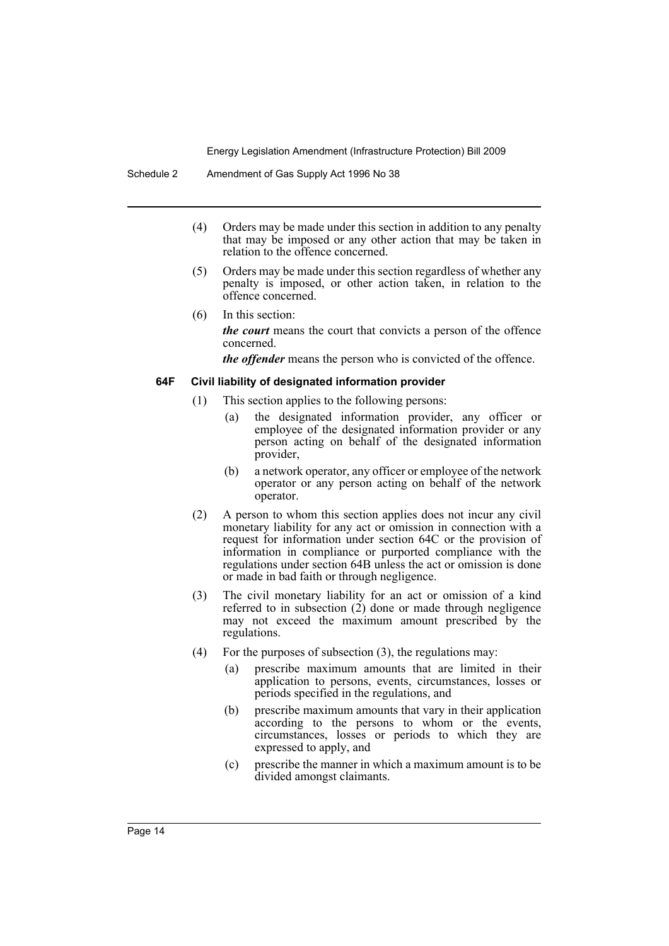- (4) Orders may be made under this section in addition to any penalty that may be imposed or any other action that may be taken in relation to the offence concerned.
- (5) Orders may be made under this section regardless of whether any penalty is imposed, or other action taken, in relation to the offence concerned.
- (6) In this section: *the court* means the court that convicts a person of the offence concerned.

*the offender* means the person who is convicted of the offence.

#### **64F Civil liability of designated information provider**

- (1) This section applies to the following persons:
	- (a) the designated information provider, any officer or employee of the designated information provider or any person acting on behalf of the designated information provider,
	- (b) a network operator, any officer or employee of the network operator or any person acting on behalf of the network operator.
- (2) A person to whom this section applies does not incur any civil monetary liability for any act or omission in connection with a request for information under section 64C or the provision of information in compliance or purported compliance with the regulations under section 64B unless the act or omission is done or made in bad faith or through negligence.
- (3) The civil monetary liability for an act or omission of a kind referred to in subsection (2) done or made through negligence may not exceed the maximum amount prescribed by the regulations.
- (4) For the purposes of subsection  $(3)$ , the regulations may:
	- (a) prescribe maximum amounts that are limited in their application to persons, events, circumstances, losses or periods specified in the regulations, and
	- (b) prescribe maximum amounts that vary in their application according to the persons to whom or the events, circumstances, losses or periods to which they are expressed to apply, and
	- (c) prescribe the manner in which a maximum amount is to be divided amongst claimants.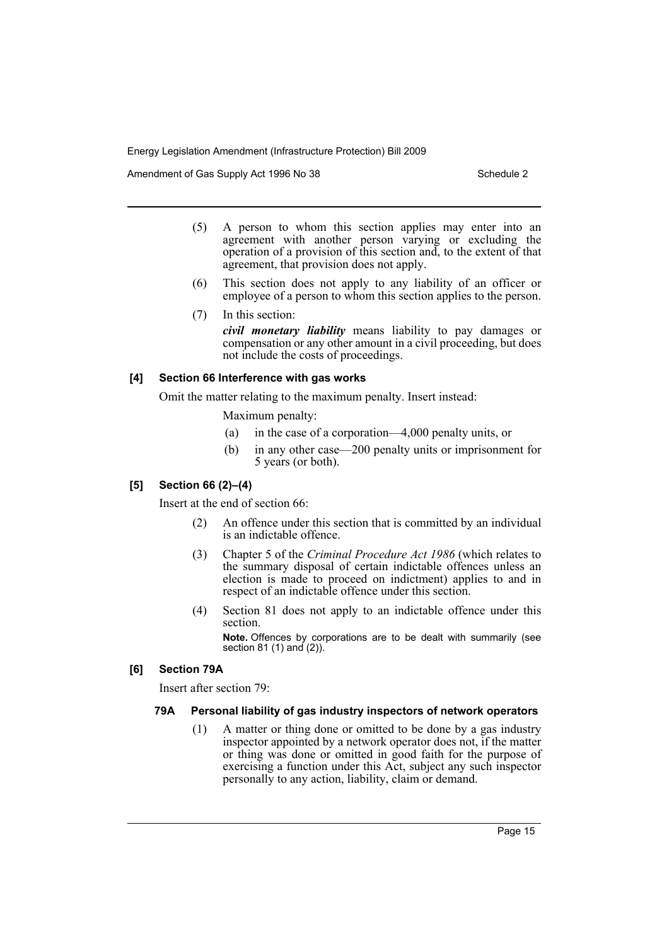Amendment of Gas Supply Act 1996 No 38 Schedule 2

- (5) A person to whom this section applies may enter into an agreement with another person varying or excluding the operation of a provision of this section and, to the extent of that agreement, that provision does not apply.
- (6) This section does not apply to any liability of an officer or employee of a person to whom this section applies to the person.
- (7) In this section:

*civil monetary liability* means liability to pay damages or compensation or any other amount in a civil proceeding, but does not include the costs of proceedings.

# **[4] Section 66 Interference with gas works**

Omit the matter relating to the maximum penalty. Insert instead:

Maximum penalty:

- (a) in the case of a corporation—4,000 penalty units, or
- (b) in any other case—200 penalty units or imprisonment for 5 years (or both).

# **[5] Section 66 (2)–(4)**

Insert at the end of section 66:

- (2) An offence under this section that is committed by an individual is an indictable offence.
- (3) Chapter 5 of the *Criminal Procedure Act 1986* (which relates to the summary disposal of certain indictable offences unless an election is made to proceed on indictment) applies to and in respect of an indictable offence under this section.
- (4) Section 81 does not apply to an indictable offence under this section.

**Note.** Offences by corporations are to be dealt with summarily (see section 81 (1) and (2)).

# **[6] Section 79A**

Insert after section 79:

# **79A Personal liability of gas industry inspectors of network operators**

(1) A matter or thing done or omitted to be done by a gas industry inspector appointed by a network operator does not, if the matter or thing was done or omitted in good faith for the purpose of exercising a function under this Act, subject any such inspector personally to any action, liability, claim or demand.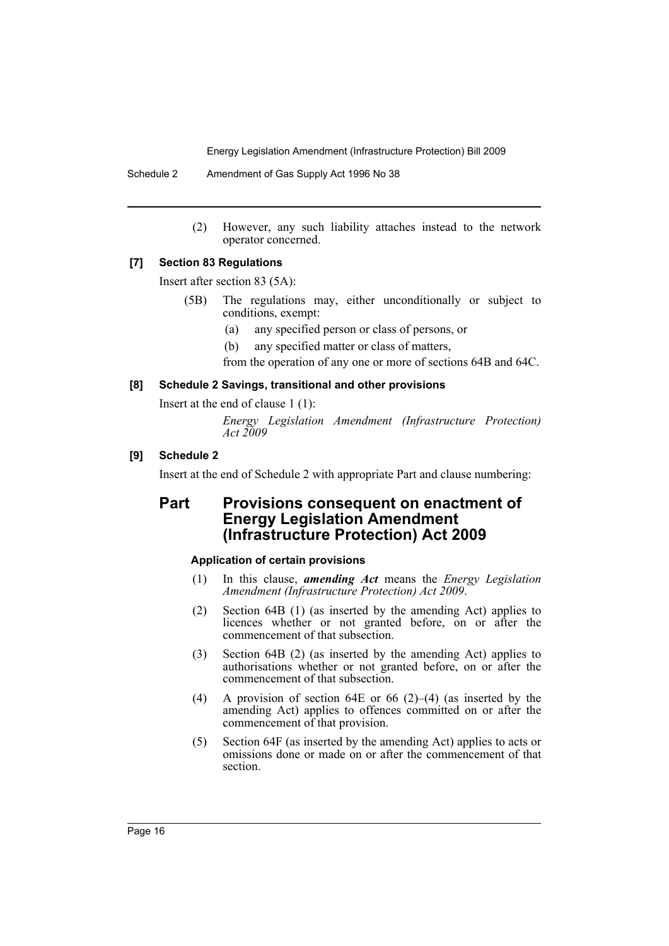Schedule 2 Amendment of Gas Supply Act 1996 No 38

(2) However, any such liability attaches instead to the network operator concerned.

#### **[7] Section 83 Regulations**

Insert after section 83 (5A):

- (5B) The regulations may, either unconditionally or subject to conditions, exempt:
	- (a) any specified person or class of persons, or
	- (b) any specified matter or class of matters,

from the operation of any one or more of sections 64B and 64C.

#### **[8] Schedule 2 Savings, transitional and other provisions**

Insert at the end of clause 1 (1):

*Energy Legislation Amendment (Infrastructure Protection) Act 2009*

# **[9] Schedule 2**

Insert at the end of Schedule 2 with appropriate Part and clause numbering:

# **Part Provisions consequent on enactment of Energy Legislation Amendment (Infrastructure Protection) Act 2009**

# **Application of certain provisions**

- (1) In this clause, *amending Act* means the *Energy Legislation Amendment (Infrastructure Protection) Act 2009*.
- (2) Section 64B (1) (as inserted by the amending Act) applies to licences whether or not granted before, on or after the commencement of that subsection.
- (3) Section 64B (2) (as inserted by the amending Act) applies to authorisations whether or not granted before, on or after the commencement of that subsection.
- (4) A provision of section 64E or 66 (2)–(4) (as inserted by the amending Act) applies to offences committed on or after the commencement of that provision.
- (5) Section 64F (as inserted by the amending Act) applies to acts or omissions done or made on or after the commencement of that section.